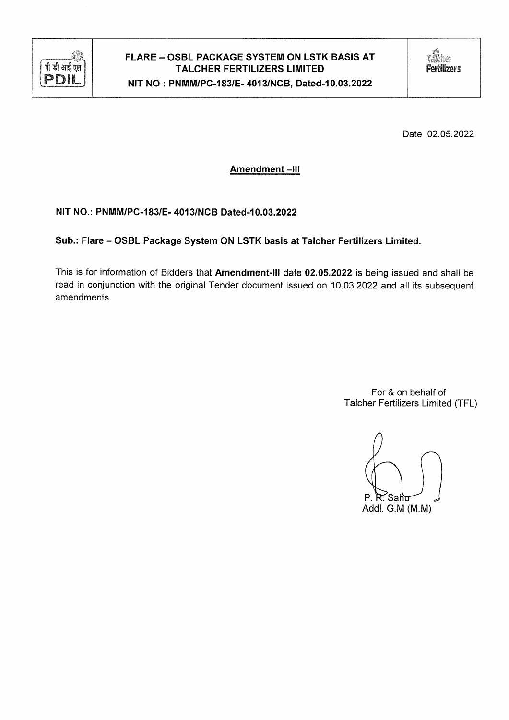

Date 02.05.2022

# **Amendment-III**

NIT NO.: PNMM/PC-183/E-4013/NCB Dated-10.03.2022

Sub.: Flare - OSBL Package System ON LSTK basis at Talcher Fertilizers Limited.

This is for information of Bidders that Amendment-III date 02.05.2022 is being issued and shall be read in conjunction with the original Tender document issued on 10.03.2022 and all its subsequent amendments.

> For & on behalf of Talcher Fertilizers Limited (TFL)

P. R. Saht Addl. G.M (M.M)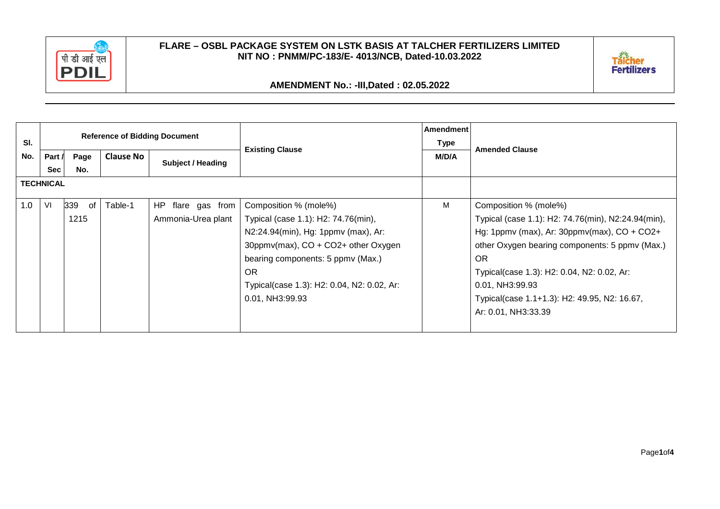



**AMENDMENT No.: -III,Dated : 02.05.2022**

|     |                  |           |                  | <b>Reference of Bidding Document</b> |                                            | Amendment |                                                    |
|-----|------------------|-----------|------------------|--------------------------------------|--------------------------------------------|-----------|----------------------------------------------------|
| SI. |                  |           |                  |                                      | <b>Existing Clause</b>                     | Type      | <b>Amended Clause</b>                              |
| No. | Part /           | Page      | <b>Clause No</b> | <b>Subject / Heading</b>             |                                            | M/D/A     |                                                    |
|     | Sec              | No.       |                  |                                      |                                            |           |                                                    |
|     | <b>TECHNICAL</b> |           |                  |                                      |                                            |           |                                                    |
| 1.0 | VI               | 339<br>of | Table-1          | flare gas from<br>HP.                | Composition % (mole%)                      | M         | Composition % (mole%)                              |
|     |                  | 1215      |                  | Ammonia-Urea plant                   | Typical (case 1.1): H2: 74.76(min),        |           | Typical (case 1.1): H2: 74.76(min), N2:24.94(min), |
|     |                  |           |                  |                                      | N2:24.94(min), Hg: 1ppmv (max), Ar:        |           | Hg: 1ppmv (max), Ar: $30$ ppmv(max), CO + CO2+     |
|     |                  |           |                  |                                      | 30ppmv(max), CO + CO2+ other Oxygen        |           | other Oxygen bearing components: 5 ppmv (Max.)     |
|     |                  |           |                  |                                      | bearing components: 5 ppmv (Max.)          |           | 0R                                                 |
|     |                  |           |                  |                                      | OR.                                        |           | Typical(case 1.3): H2: 0.04, N2: 0.02, Ar:         |
|     |                  |           |                  |                                      | Typical(case 1.3): H2: 0.04, N2: 0.02, Ar: |           | 0.01, NH3:99.93                                    |
|     |                  |           |                  |                                      | 0.01, NH3:99.93                            |           | Typical(case 1.1+1.3): H2: 49.95, N2: 16.67,       |
|     |                  |           |                  |                                      |                                            |           | Ar: 0.01, NH3:33.39                                |
|     |                  |           |                  |                                      |                                            |           |                                                    |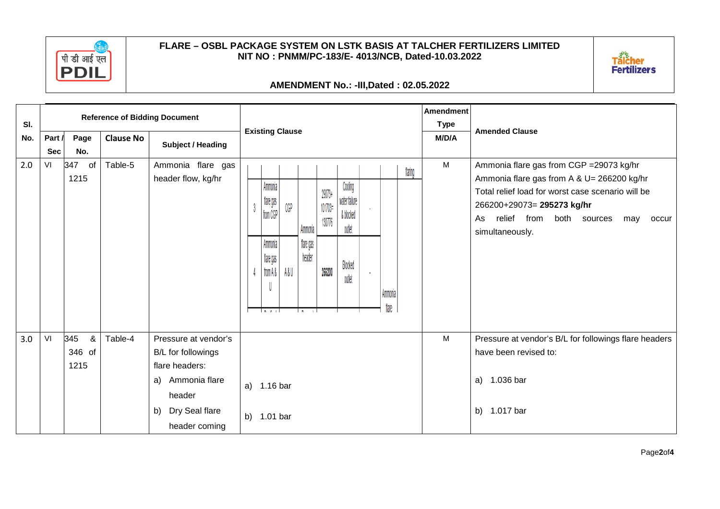



### **AMENDMENT No.: -III,Dated : 02.05.2022**

| SI. |                      | <b>Reference of Bidding Document</b> |                  |                                                                  |                            |                                             |     |                      |                             |                                                 |  | Amendment<br><b>Type</b> |         |       |                                                                                                                                                                                                                                                   |
|-----|----------------------|--------------------------------------|------------------|------------------------------------------------------------------|----------------------------|---------------------------------------------|-----|----------------------|-----------------------------|-------------------------------------------------|--|--------------------------|---------|-------|---------------------------------------------------------------------------------------------------------------------------------------------------------------------------------------------------------------------------------------------------|
| No. | Part /<br><b>Sec</b> | Page<br>No.                          | <b>Clause No</b> | Subject / Heading                                                | <b>Existing Clause</b>     |                                             |     |                      |                             |                                                 |  |                          |         | M/D/A | <b>Amended Clause</b>                                                                                                                                                                                                                             |
| 2.0 | VI                   | 347<br>of<br>1215                    | Table-5          | Ammonia flare gas<br>header flow, kg/hr                          |                            | Ammonia<br>flare gas<br>from CGP<br>Ammonia | CGP | Ammonia<br>flare gas | 29073+<br>101703=<br>130776 | Cooling<br>water failure<br>& blocked<br>outlet |  |                          | flaring | M     | Ammonia flare gas from CGP = 29073 kg/hr<br>Ammonia flare gas from A & U= 266200 kg/hr<br>Total relief load for worst case scenario will be<br>266200+29073= 295273 kg/hr<br>relief from<br>both sources<br>As<br>may<br>occur<br>simultaneously. |
|     |                      |                                      |                  |                                                                  |                            | flare gas<br>from A &  <br>انمطا            | A&U | header<br>التاها     | 266200                      | Blocked<br>outlet                               |  | Ammonia<br>flare         |         |       |                                                                                                                                                                                                                                                   |
| 3.0 | VI                   | &<br>345<br>346 of<br>1215           | Table-4          | Pressure at vendor's<br>B/L for followings<br>flare headers:     |                            |                                             |     |                      |                             |                                                 |  |                          |         | M     | Pressure at vendor's B/L for followings flare headers<br>have been revised to:                                                                                                                                                                    |
|     |                      |                                      |                  | a) Ammonia flare<br>header<br>b) Dry Seal flare<br>header coming | a) 1.16 bar<br>b) 1.01 bar |                                             |     |                      |                             |                                                 |  |                          |         |       | 1.036 bar<br>a)<br>b) 1.017 bar                                                                                                                                                                                                                   |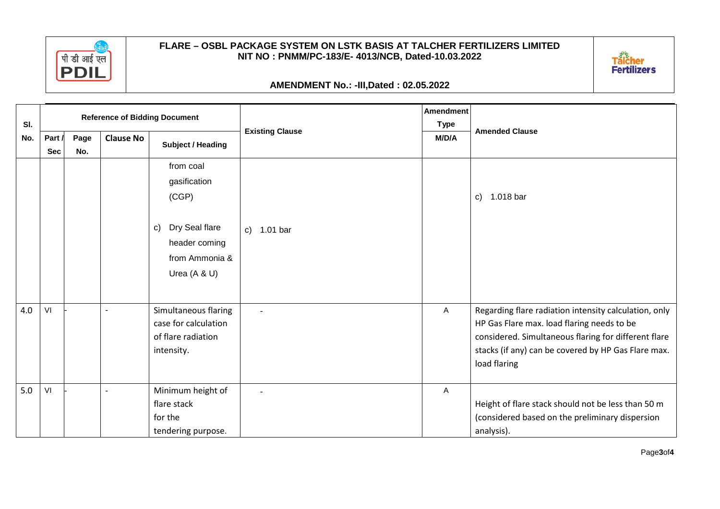

## **AMENDMENT No.: -III,Dated : 02.05.2022**

| SI. |                      |                                                             |   | <b>Reference of Bidding Document</b>                                                                                    |                        | <b>Amendment</b><br><b>Type</b> |                                                                                                                                                                                                                                    |  |
|-----|----------------------|-------------------------------------------------------------|---|-------------------------------------------------------------------------------------------------------------------------|------------------------|---------------------------------|------------------------------------------------------------------------------------------------------------------------------------------------------------------------------------------------------------------------------------|--|
| No. | Part /<br><b>Sec</b> | <b>Clause No</b><br>Page<br><b>Subject / Heading</b><br>No. |   |                                                                                                                         | <b>Existing Clause</b> | M/D/A                           | <b>Amended Clause</b>                                                                                                                                                                                                              |  |
|     |                      |                                                             |   | from coal<br>gasification<br>(CGP)<br>Dry Seal flare<br>$\mathsf{C}$<br>header coming<br>from Ammonia &<br>Urea (A & U) | c) 1.01 bar            |                                 | 1.018 bar<br>$\mathsf{c})$                                                                                                                                                                                                         |  |
| 4.0 | VI                   |                                                             |   | Simultaneous flaring<br>case for calculation<br>of flare radiation<br>intensity.                                        |                        | A                               | Regarding flare radiation intensity calculation, only<br>HP Gas Flare max. load flaring needs to be<br>considered. Simultaneous flaring for different flare<br>stacks (if any) can be covered by HP Gas Flare max.<br>load flaring |  |
| 5.0 | VI                   |                                                             | ٠ | Minimum height of<br>flare stack<br>for the<br>tendering purpose.                                                       |                        | Α                               | Height of flare stack should not be less than 50 m<br>(considered based on the preliminary dispersion<br>analysis).                                                                                                                |  |

Talcher<br>Fertilizers